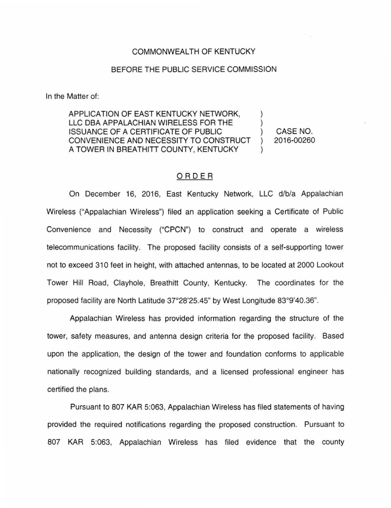## COMMONWEALTH OF KENTUCKY

## BEFORE THE PUBLIC SERVICE COMMISSION

In the Matter of:

APPLICATION OF EAST KENTUCKY NETWORK, LLC DBA APPALACHIAN WIRELESS FOR THE  $\qquad$ ) ISSUANCE OF A CERTIFICATE OF PUBLIC ) CASE NO. CONVENIENCE AND NECESSITY TO CONSTRUCT ) 2016-00260 A TOWER IN BREATHITT COUNTY, KENTUCKY

## ORDER

On December 16, 2016, East Kentucky Network, LLC d/b/a Appalachian Wireless ("Appalachian Wireless") filed an application seeking a Certificate of Public Convenience and Necessity ("CPCN") to construct and operate a wireless telecommunications facility. The proposed facility consists of a self-supporting tower not to exceed 310 feet in height, with attached antennas, to be located at 2000 Lookout Tower Hill Road, Clayhole, Breathitt County, Kentucky. The coordinates for the proposed facility are North Latitude 37°28'25.45" by West Longitude 83°9'40.36".

Appalachian Wireless has provided information regarding the structure of the tower, safety measures, and antenna design criteria for the proposed facility. Based upon the application, the design of the tower and foundation conforms to applicable nationally recognized building standards, and a licensed professional engineer has certified the plans.

Pursuant to 807 KAR 5:063, Appalachian Wireless has filed statements of having provided the required notifications regarding the proposed construction. Pursuant to 807 KAR 5:063, Appalachian Wireless has filed evidence that the county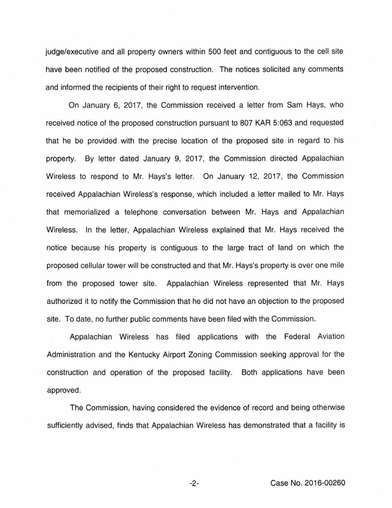judge/executive and all property owners within 500 feet and contiguous to the cell site have been notified of the proposed construction. The notices solicited any comments and informed the recipients of their right to request intervention.

On January 6, 2017, the Commission received a letter from Sam Hays, who received notice of the proposed construction pursuant to 807 KAR 5:063 and requested that he be provided with the precise location of the proposed site in regard to his property. By letter dated January 9, 2017, the Commission directed Appalachian Wireless to respond to Mr. Hays's letter. On January 12, 2017, the Commission received Appalachian Wireless's response, which included a letter mailed to Mr. Hays that memorialized a telephone conversation between Mr. Hays and Appalachian Wireless. In the letter, Appalachian Wireless explained that Mr. Hays received the notice because his property is contiguous to the large tract of land on which the proposed cellular tower will be constructed and that Mr. Hays's property is over one mile from the proposed tower site. Appalachian Wireless represented that Mr. Hays authorized it to notify the Commission that he did not have an objection to the proposed site. To date, no further public comments have been filed with the Commission.

Appalachian Wireless has filed applications with the Federal Aviation Administration and the Kentucky Airport Zoning Commission seeking approval for the construction and operation of the proposed facility. Both applications have been approved.

The Commission, having considered the evidence of record and being otherwise sufficiently advised, finds that Appalachian Wireless has demonstrated that a facility is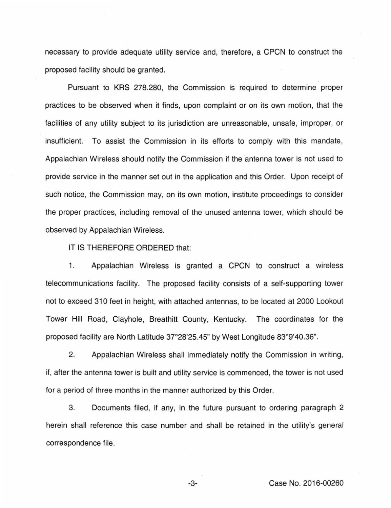necessary to provide adequate utility service and, therefore, a CPCN to construct the proposed facility should be granted.

Pursuant to KRS 278.280, the Commission is required to determine proper practices to be observed when it finds, upon complaint or on its own motion, that the facilities of any utility subject to its jurisdiction are unreasonable, unsafe, improper, or insufficient. To assist the Commission in its efforts to comply with this mandate, Appalachian Wireless should notify the Commission if the antenna tower is not used to provide service in the manner set out in the application and this Order. Upon receipt of such notice, the Commission may, on its own motion, institute proceedings to consider the proper practices, including removal of the unused antenna tower, which should be observed by Appalachian Wireless.

IT IS THEREFORE ORDERED that:

1. Appalachian Wireless is granted a CPCN to construct a wireless telecommunications facility. The proposed facility consists of a self-supporting tower not to exceed 310 feet in height, with attached antennas, to be located at 2000 Lookout Tower Hill Road, Clayhole, Breathitt County, Kentucky. The coordinates for the proposed facility are North Latitude 37°28'25.45" by West Longitude 83°9'40.36".

2. Appalachian Wireless shall immediately notify the Commission in writing, if, after the antenna tower is built and utility service is commenced, the tower is not used for a period of three months in the manner authorized by this Order.

3. Documents filed, if any, in the future pursuant to ordering paragraph 2 herein shall reference this case number and shall be retained in the utility's general correspondence file.

-3- Case No. 2016-00260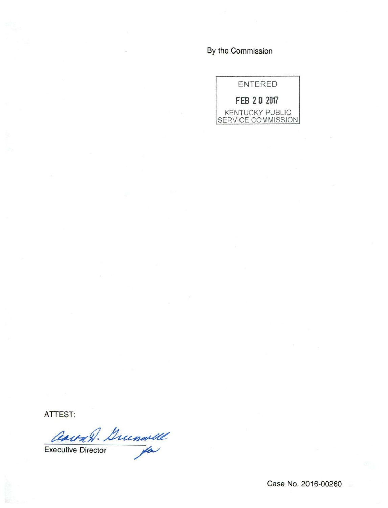By the Commission



**ATTEST:** 

aavan. Grunwell Carry. Duchardd